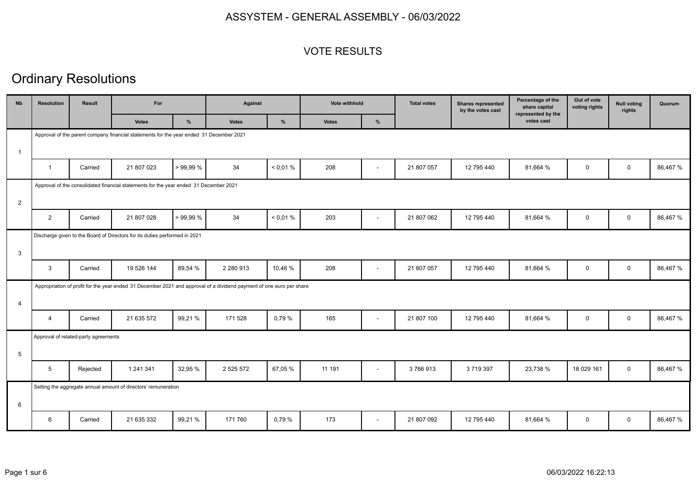#### VOTE RESULTS

# Ordinary Resolutions

| <b>Nb</b>      | <b>Resolution</b>                                                                       | Result                               | For                                                                                                                  |          | <b>Against</b> |          | Vote withhold |                          | <b>Total votes</b> | <b>Shares represented</b><br>by the votes cast | Percentage of the<br>share capital<br>represented by the | Out of vote<br>voting rights | <b>Null voting</b><br>rights | Quorum   |
|----------------|-----------------------------------------------------------------------------------------|--------------------------------------|----------------------------------------------------------------------------------------------------------------------|----------|----------------|----------|---------------|--------------------------|--------------------|------------------------------------------------|----------------------------------------------------------|------------------------------|------------------------------|----------|
|                |                                                                                         |                                      | <b>Votes</b>                                                                                                         | %        | <b>Votes</b>   | $\%$     | <b>Votes</b>  | $\%$                     |                    |                                                | votes cast                                               |                              |                              |          |
|                | Approval of the parent company financial statements for the year ended 31 December 2021 |                                      |                                                                                                                      |          |                |          |               |                          |                    |                                                |                                                          |                              |                              |          |
| $\mathbf{1}$   |                                                                                         |                                      |                                                                                                                      |          |                |          |               |                          |                    |                                                |                                                          |                              |                              |          |
|                | $\overline{1}$                                                                          | Carried                              | 21 807 023                                                                                                           | >99.99%  | 34             | < 0.01 % | 208           |                          | 21 807 057         | 12 795 440                                     | 81,664 %                                                 | $\mathbf 0$                  | $\mathbf 0$                  | 86,467 % |
|                | Approval of the consolidated financial statements for the year ended 31 December 2021   |                                      |                                                                                                                      |          |                |          |               |                          |                    |                                                |                                                          |                              |                              |          |
| 2              |                                                                                         |                                      |                                                                                                                      |          |                |          |               |                          |                    |                                                |                                                          |                              |                              |          |
|                | $\overline{2}$                                                                          | Carried                              | 21 807 028                                                                                                           | > 99,99% | 34             | < 0.01 % | 203           | $\blacksquare$           | 21 807 062         | 12 795 440                                     | 81,664 %                                                 | $\mathbf 0$                  | $\mathbf 0$                  | 86,467 % |
|                |                                                                                         |                                      | Discharge given to the Board of Directors for its duties performed in 2021                                           |          |                |          |               |                          |                    |                                                |                                                          |                              |                              |          |
| 3              |                                                                                         |                                      |                                                                                                                      |          |                |          |               |                          |                    |                                                |                                                          |                              |                              |          |
|                | $\mathbf{3}$                                                                            | Carried                              | 19 526 144                                                                                                           | 89,54 %  | 2 2 8 0 9 1 3  | 10,46 %  | 208           | $\overline{\phantom{a}}$ | 21 807 057         | 12 795 440                                     | 81,664 %                                                 | $\mathbf 0$                  | $\mathbf 0$                  | 86,467 % |
|                |                                                                                         |                                      | Appropriation of profit for the year ended 31 December 2021 and approval of a dividend payment of one euro per share |          |                |          |               |                          |                    |                                                |                                                          |                              |                              |          |
| $\overline{4}$ |                                                                                         |                                      |                                                                                                                      |          |                |          |               |                          |                    |                                                |                                                          |                              |                              |          |
|                | $\overline{4}$                                                                          | Carried                              | 21 635 572                                                                                                           | 99,21%   | 171 528        | 0,79 %   | 165           | $\blacksquare$           | 21 807 100         | 12 795 440                                     | 81,664 %                                                 | $\mathbf 0$                  | $\mathbf 0$                  | 86,467 % |
|                |                                                                                         | Approval of related-party agreements |                                                                                                                      |          |                |          |               |                          |                    |                                                |                                                          |                              |                              |          |
| 5              |                                                                                         |                                      |                                                                                                                      |          |                |          |               |                          |                    |                                                |                                                          |                              |                              |          |
|                | $5\overline{5}$                                                                         | Rejected                             | 1 241 341                                                                                                            | 32,95 %  | 2 5 2 5 5 7 2  | 67,05 %  | 11 191        | $\blacksquare$           | 3766913            | 3 7 1 9 3 9 7                                  | 23,738 %                                                 | 18 029 161                   | $\mathbf 0$                  | 86,467 % |
|                |                                                                                         |                                      | Setting the aggregate annual amount of directors' remuneration                                                       |          |                |          |               |                          |                    |                                                |                                                          |                              |                              |          |
| 6              |                                                                                         |                                      |                                                                                                                      |          |                |          |               |                          |                    |                                                |                                                          |                              |                              |          |
|                | 6                                                                                       | Carried                              | 21 635 332                                                                                                           | 99,21%   | 171760         | 0,79 %   | 173           | $\blacksquare$           | 21 807 092         | 12 795 440                                     | 81,664 %                                                 | 0                            | $\mathbf{0}$                 | 86,467 % |
|                |                                                                                         |                                      |                                                                                                                      |          |                |          |               |                          |                    |                                                |                                                          |                              |                              |          |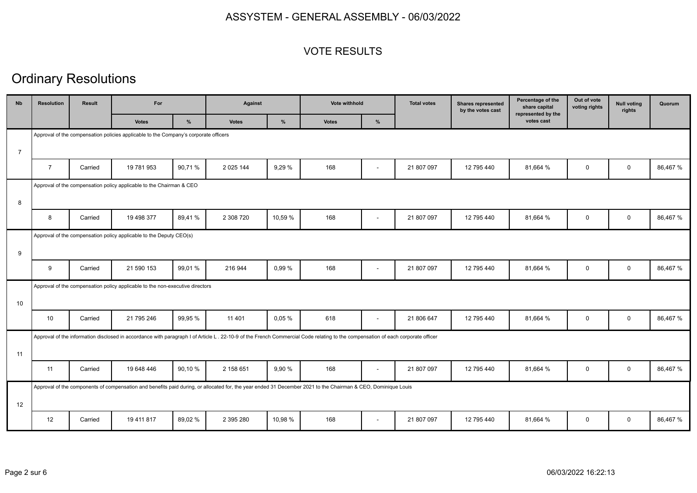#### VOTE RESULTS

# Ordinary Resolutions

|                |         |              | For           |                                                                                                                                             |                                                                                                                                                                       |              | Vote withhold            | <b>Total votes</b> | <b>Shares represented</b><br>by the votes cast                                                                                                                                                                                                                                                                                                   | share capital<br>represented by the | voting rights | rights      | Quorum   |
|----------------|---------|--------------|---------------|---------------------------------------------------------------------------------------------------------------------------------------------|-----------------------------------------------------------------------------------------------------------------------------------------------------------------------|--------------|--------------------------|--------------------|--------------------------------------------------------------------------------------------------------------------------------------------------------------------------------------------------------------------------------------------------------------------------------------------------------------------------------------------------|-------------------------------------|---------------|-------------|----------|
|                |         | <b>Votes</b> | $\frac{9}{6}$ | <b>Votes</b>                                                                                                                                | %                                                                                                                                                                     | <b>Votes</b> | %                        |                    |                                                                                                                                                                                                                                                                                                                                                  | votes cast                          |               |             |          |
|                |         |              |               |                                                                                                                                             |                                                                                                                                                                       |              |                          |                    |                                                                                                                                                                                                                                                                                                                                                  |                                     |               |             |          |
|                |         |              |               |                                                                                                                                             |                                                                                                                                                                       |              |                          |                    |                                                                                                                                                                                                                                                                                                                                                  |                                     |               |             |          |
| $\overline{7}$ | Carried | 19 781 953   | 90,71%        | 2 0 25 144                                                                                                                                  | 9,29 %                                                                                                                                                                | 168          | $\overline{\phantom{a}}$ | 21 807 097         | 12 795 440                                                                                                                                                                                                                                                                                                                                       | 81,664 %                            | $\mathbf 0$   | $\mathbf 0$ | 86,467 % |
|                |         |              |               |                                                                                                                                             |                                                                                                                                                                       |              |                          |                    |                                                                                                                                                                                                                                                                                                                                                  |                                     |               |             |          |
|                |         |              |               |                                                                                                                                             |                                                                                                                                                                       |              |                          |                    |                                                                                                                                                                                                                                                                                                                                                  |                                     |               |             |          |
| 8              | Carried | 19 498 377   | 89,41%        | 2 308 720                                                                                                                                   | 10,59 %                                                                                                                                                               | 168          | $\overline{\phantom{a}}$ | 21 807 097         | 12 795 440                                                                                                                                                                                                                                                                                                                                       | 81,664 %                            | $\mathbf 0$   | $\mathbf 0$ | 86,467 % |
|                |         |              |               |                                                                                                                                             |                                                                                                                                                                       |              |                          |                    |                                                                                                                                                                                                                                                                                                                                                  |                                     |               |             |          |
|                |         |              |               |                                                                                                                                             |                                                                                                                                                                       |              |                          |                    |                                                                                                                                                                                                                                                                                                                                                  |                                     |               |             |          |
| 9              | Carried | 21 590 153   | 99,01%        | 216 944                                                                                                                                     | 0.99%                                                                                                                                                                 | 168          | $\overline{\phantom{a}}$ | 21 807 097         | 12 795 440                                                                                                                                                                                                                                                                                                                                       | 81,664 %                            | 0             | $\mathbf 0$ | 86,467 % |
|                |         |              |               |                                                                                                                                             |                                                                                                                                                                       |              |                          |                    |                                                                                                                                                                                                                                                                                                                                                  |                                     |               |             |          |
|                |         |              |               |                                                                                                                                             |                                                                                                                                                                       |              |                          |                    |                                                                                                                                                                                                                                                                                                                                                  |                                     |               |             |          |
| 10             | Carried | 21 795 246   | 99,95 %       | 11 401                                                                                                                                      | 0.05%                                                                                                                                                                 | 618          | $\overline{\phantom{a}}$ | 21 806 647         | 12 795 440                                                                                                                                                                                                                                                                                                                                       | 81,664 %                            | $\mathbf 0$   | $\mathbf 0$ | 86,467 % |
|                |         |              |               |                                                                                                                                             |                                                                                                                                                                       |              |                          |                    |                                                                                                                                                                                                                                                                                                                                                  |                                     |               |             |          |
|                |         |              |               |                                                                                                                                             |                                                                                                                                                                       |              |                          |                    |                                                                                                                                                                                                                                                                                                                                                  |                                     |               |             |          |
| 11             | Carried | 19 648 446   | 90,10%        | 2 158 651                                                                                                                                   | 9.90 %                                                                                                                                                                | 168          | $\blacksquare$           | 21 807 097         | 12 795 440                                                                                                                                                                                                                                                                                                                                       | 81,664 %                            | $\mathbf 0$   | $\mathbf 0$ | 86,467 % |
|                |         |              |               |                                                                                                                                             |                                                                                                                                                                       |              |                          |                    |                                                                                                                                                                                                                                                                                                                                                  |                                     |               |             |          |
|                |         |              |               |                                                                                                                                             |                                                                                                                                                                       |              |                          |                    |                                                                                                                                                                                                                                                                                                                                                  |                                     |               |             |          |
| 12             | Carried | 19 411 817   | 89,02 %       | 2 395 280                                                                                                                                   | 10,98 %                                                                                                                                                               | 168          | $\overline{\phantom{a}}$ | 21 807 097         | 12 795 440                                                                                                                                                                                                                                                                                                                                       | 81,664 %                            | 0             | $\mathbf 0$ | 86,467 % |
|                |         |              |               | Approval of the compensation policy applicable to the Chairman & CEO<br>Approval of the compensation policy applicable to the Deputy CEO(s) | Approval of the compensation policies applicable to the Company's corporate officers<br>Approval of the compensation policy applicable to the non-executive directors |              |                          |                    | Approval of the information disclosed in accordance with paragraph I of Article L. 22-10-9 of the French Commercial Code relating to the compensation of each corporate officer<br>Approval of the components of compensation and benefits paid during, or allocated for, the year ended 31 December 2021 to the Chairman & CEO, Dominique Louis |                                     |               |             |          |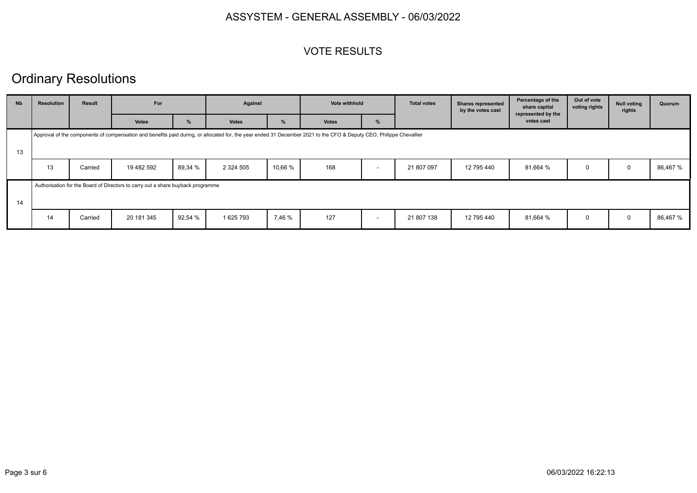#### VOTE RESULTS

## Ordinary Resolutions

| <b>N<sub>b</sub></b> | <b>Resolution</b> | <b>Result</b> | For                                                                             |         |               |         | Against                                                                                                                                                             |                          | Vote withhold |            | <b>Total votes</b> | <b>Shares represented</b><br>by the votes cast | Percentage of the<br>share capital<br>represented by the | Out of vote<br>voting rights | <b>Null voting</b><br>rights | Quorum |
|----------------------|-------------------|---------------|---------------------------------------------------------------------------------|---------|---------------|---------|---------------------------------------------------------------------------------------------------------------------------------------------------------------------|--------------------------|---------------|------------|--------------------|------------------------------------------------|----------------------------------------------------------|------------------------------|------------------------------|--------|
|                      |                   |               | <b>Votes</b>                                                                    | %       | <b>Votes</b>  | %       | <b>Votes</b>                                                                                                                                                        | %                        |               |            | votes cast         |                                                |                                                          |                              |                              |        |
| 13                   |                   |               |                                                                                 |         |               |         | Approval of the components of compensation and benefits paid during, or allocated for, the year ended 31 December 2021 to the CFO & Deputy CEO, Philippe Chevallier |                          |               |            |                    |                                                |                                                          |                              |                              |        |
|                      | 13                | Carried       | 19 482 592                                                                      | 89,34 % | 2 3 2 4 5 0 5 | 10,66 % | 168                                                                                                                                                                 | $\overline{\phantom{0}}$ | 21 807 097    | 12 795 440 | 81,664 %           | 0                                              |                                                          | 86,467 %                     |                              |        |
| 14                   |                   |               | Authorisation for the Board of Directors to carry out a share buyback programme |         |               |         |                                                                                                                                                                     |                          |               |            |                    |                                                |                                                          |                              |                              |        |
|                      | 14                | Carried       | 20 181 345                                                                      | 92,54 % | 1 625 793     | 7,46 %  | 127                                                                                                                                                                 | $\overline{\phantom{0}}$ | 21 807 138    | 12 795 440 | 81,664 %           | 0                                              | $\Omega$                                                 | 86,467 %                     |                              |        |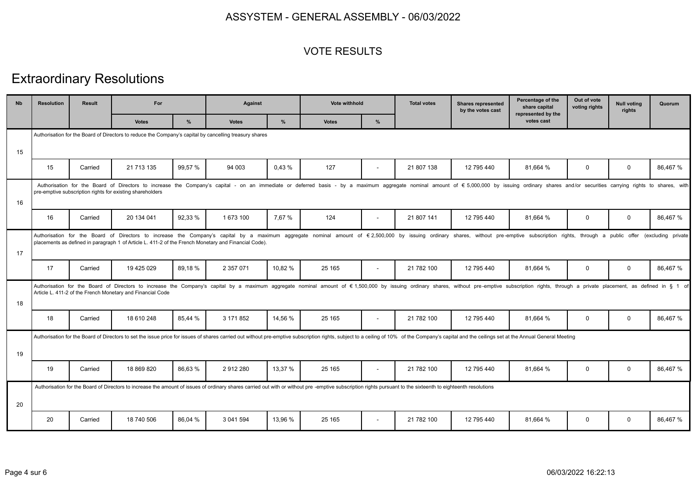#### VOTE RESULTS

# Extraordinary Resolutions

| <b>Nb</b> | <b>Resolution</b>                                                                                                                                                                                                                                                                           | Result  | For                                                                                                    |         | <b>Against</b> |         | <b>Vote withhold</b>                                                                                                                                                                                                           |                | <b>Total votes</b> | <b>Shares represented</b><br>by the votes cast | Percentage of the<br>share capital<br>represented by the | Out of vote<br>voting rights | <b>Null voting</b><br>rights | Quorum             |
|-----------|---------------------------------------------------------------------------------------------------------------------------------------------------------------------------------------------------------------------------------------------------------------------------------------------|---------|--------------------------------------------------------------------------------------------------------|---------|----------------|---------|--------------------------------------------------------------------------------------------------------------------------------------------------------------------------------------------------------------------------------|----------------|--------------------|------------------------------------------------|----------------------------------------------------------|------------------------------|------------------------------|--------------------|
|           |                                                                                                                                                                                                                                                                                             |         | <b>Votes</b>                                                                                           | %       | <b>Votes</b>   | %       | <b>Votes</b>                                                                                                                                                                                                                   | %              |                    |                                                | votes cast                                               |                              |                              |                    |
|           |                                                                                                                                                                                                                                                                                             |         | Authorisation for the Board of Directors to reduce the Company's capital by cancelling treasury shares |         |                |         |                                                                                                                                                                                                                                |                |                    |                                                |                                                          |                              |                              |                    |
| 15        |                                                                                                                                                                                                                                                                                             |         |                                                                                                        |         |                |         |                                                                                                                                                                                                                                |                |                    |                                                |                                                          |                              |                              |                    |
|           | 15                                                                                                                                                                                                                                                                                          | Carried | 21 713 135                                                                                             | 99,57 % | 94 003         | 0,43 %  | 127                                                                                                                                                                                                                            | $\blacksquare$ | 21 807 138         | 12 795 440                                     | 81,664 %                                                 | 0                            | $\mathbf 0$                  | 86,467 %           |
| 16        |                                                                                                                                                                                                                                                                                             |         | pre-emptive subscription rights for existing shareholders                                              |         |                |         | Authorisation for the Board of Directors to increase the Company's capital - on an immediate or deferred basis - by a maximum aggregate nominal amount of € 5,000,000 by issuing ordinary shares and/or securities carrying r  |                |                    |                                                |                                                          |                              |                              |                    |
|           | 16                                                                                                                                                                                                                                                                                          | Carried | 20 134 041                                                                                             | 92,33 % | 1 673 100      | 7.67 %  | 124                                                                                                                                                                                                                            |                | 21 807 141         | 12 795 440                                     | 81,664 %                                                 | 0                            | $\mathbf 0$                  | 86,467 %           |
| 17        |                                                                                                                                                                                                                                                                                             |         | placements as defined in paragraph 1 of Article L. 411-2 of the French Monetary and Financial Code).   |         |                |         | Authorisation for the Board of Directors to increase the Company's capital by a maximum aggregate nominal amount of €2,500,000 by issuing ordinary shares, without pre-emptive subscription rights, through a public offer     |                |                    |                                                |                                                          |                              |                              | (excluding private |
|           | 17                                                                                                                                                                                                                                                                                          | Carried | 19 425 029                                                                                             | 89,18%  | 2 357 071      | 10,82 % | 25 165                                                                                                                                                                                                                         | $\sim$         | 21 782 100         | 12 795 440                                     | 81,664 %                                                 | 0                            | $\mathbf 0$                  | 86,467 %           |
| 18        | Authorisation for the Board of Directors to increase the Company's capital by a maximum aggregate nominal amount of €1,500,000 by issuing ordinary shares, without pre-emptive subscription rights, through a private placeme<br>Article L. 411-2 of the French Monetary and Financial Code |         |                                                                                                        |         |                |         |                                                                                                                                                                                                                                |                |                    |                                                |                                                          |                              |                              |                    |
|           | 18                                                                                                                                                                                                                                                                                          | Carried | 18 610 248                                                                                             | 85,44 % | 3 171 852      | 14.56 % | 25 165                                                                                                                                                                                                                         | $\blacksquare$ | 21 782 100         | 12 795 440                                     | 81,664 %                                                 | 0                            | $\mathbf 0$                  | 86,467 %           |
|           |                                                                                                                                                                                                                                                                                             |         |                                                                                                        |         |                |         | Authorisation for the Board of Directors to set the issue price for issues of shares carried out without pre-emptive subscription rights, subject to a ceiling of 10% of the Company's capital and the ceilings set at the Ann |                |                    |                                                |                                                          |                              |                              |                    |
| 19        |                                                                                                                                                                                                                                                                                             |         |                                                                                                        |         |                |         |                                                                                                                                                                                                                                |                |                    |                                                |                                                          |                              |                              |                    |
|           | 19                                                                                                                                                                                                                                                                                          | Carried | 18 869 820                                                                                             | 86,63%  | 2912280        | 13,37 % | 25 165                                                                                                                                                                                                                         | $\blacksquare$ | 21 782 100         | 12 795 440                                     | 81.664 %                                                 | $\mathbf 0$                  | $\mathbf 0$                  | 86,467 %           |
| 20        |                                                                                                                                                                                                                                                                                             |         |                                                                                                        |         |                |         | Authorisation for the Board of Directors to increase the amount of issues of ordinary shares carried out with or without pre-emptive subscription rights pursuant to the sixteenth to eighteenth resolutions                   |                |                    |                                                |                                                          |                              |                              |                    |
|           | 20                                                                                                                                                                                                                                                                                          | Carried | 18 740 506                                                                                             | 86,04 % | 3 041 594      | 13.96 % | 25 165                                                                                                                                                                                                                         | $\blacksquare$ | 21 782 100         | 12 795 440                                     | 81.664 %                                                 | 0                            | $\mathbf 0$                  | 86,467 %           |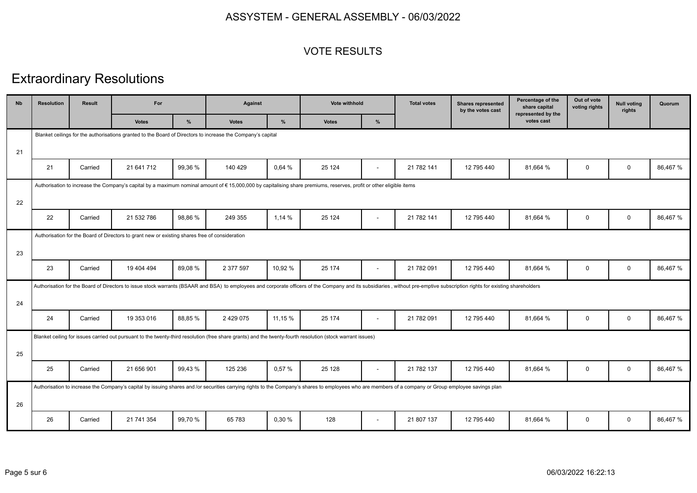#### VOTE RESULTS

# Extraordinary Resolutions

| <b>N<sub>b</sub></b> | <b>Resolution</b> | <b>Result</b> | For                                                                                                         |         | Against       |         | <b>Vote withhold</b>                                                                                                                                                                                                        |                          | <b>Total votes</b> | <b>Shares represented</b><br>by the votes cast | Percentage of the<br>share capital<br>represented by the | Out of vote<br>voting rights | <b>Null voting</b><br>rights | Quorum   |
|----------------------|-------------------|---------------|-------------------------------------------------------------------------------------------------------------|---------|---------------|---------|-----------------------------------------------------------------------------------------------------------------------------------------------------------------------------------------------------------------------------|--------------------------|--------------------|------------------------------------------------|----------------------------------------------------------|------------------------------|------------------------------|----------|
|                      |                   |               | <b>Votes</b>                                                                                                | %       | <b>Votes</b>  | %       | <b>Votes</b>                                                                                                                                                                                                                | %                        |                    |                                                | votes cast                                               |                              |                              |          |
|                      |                   |               | Blanket ceilings for the authorisations granted to the Board of Directors to increase the Company's capital |         |               |         |                                                                                                                                                                                                                             |                          |                    |                                                |                                                          |                              |                              |          |
| 21                   |                   |               |                                                                                                             |         |               |         |                                                                                                                                                                                                                             |                          |                    |                                                |                                                          |                              |                              |          |
|                      | 21                | Carried       | 21 641 712                                                                                                  | 99,36 % | 140 429       | 0,64 %  | 25 1 24                                                                                                                                                                                                                     | $\overline{\phantom{a}}$ | 21 782 141         | 12 795 440                                     | 81,664 %                                                 | $\mathbf 0$                  | $\mathbf 0$                  | 86,467 % |
|                      |                   |               |                                                                                                             |         |               |         | Authorisation to increase the Company's capital by a maximum nominal amount of €15,000,000 by capitalising share premiums, reserves, profit or other eligible items                                                         |                          |                    |                                                |                                                          |                              |                              |          |
| 22                   |                   |               |                                                                                                             |         |               |         |                                                                                                                                                                                                                             |                          |                    |                                                |                                                          |                              |                              |          |
|                      | 22                | Carried       | 21 532 786                                                                                                  | 98,86%  | 249 355       | 1,14 %  | 25 1 24                                                                                                                                                                                                                     | ÷,                       | 21 782 141         | 12 795 440                                     | 81,664 %                                                 | $\mathbf 0$                  | $\mathbf 0$                  | 86,467 % |
|                      |                   |               | Authorisation for the Board of Directors to grant new or existing shares free of consideration              |         |               |         |                                                                                                                                                                                                                             |                          |                    |                                                |                                                          |                              |                              |          |
| 23                   |                   |               |                                                                                                             |         |               |         |                                                                                                                                                                                                                             |                          |                    |                                                |                                                          |                              |                              |          |
|                      | 23                | Carried       | 19 404 494                                                                                                  | 89,08%  | 2 377 597     | 10,92 % | 25 174                                                                                                                                                                                                                      | $\blacksquare$           | 21 782 091         | 12 795 440                                     | 81,664 %                                                 | $\mathbf 0$                  | $\mathbf 0$                  | 86,467 % |
|                      |                   |               |                                                                                                             |         |               |         | Authorisation for the Board of Directors to issue stock warrants (BSAAR and BSA) to employees and corporate officers of the Company and its subsidiaries, without pre-emptive subscription rights for existing shareholders |                          |                    |                                                |                                                          |                              |                              |          |
| 24                   |                   |               |                                                                                                             |         |               |         |                                                                                                                                                                                                                             |                          |                    |                                                |                                                          |                              |                              |          |
|                      | 24                | Carried       | 19 353 016                                                                                                  | 88,85%  | 2 4 2 9 0 7 5 | 11,15 % | 25 174                                                                                                                                                                                                                      | $\overline{\phantom{a}}$ | 21 782 091         | 12 795 440                                     | 81,664 %                                                 | $\mathbf 0$                  | $\mathbf 0$                  | 86,467 % |
|                      |                   |               |                                                                                                             |         |               |         | Blanket ceiling for issues carried out pursuant to the twenty-third resolution (free share grants) and the twenty-fourth resolution (stock warrant issues)                                                                  |                          |                    |                                                |                                                          |                              |                              |          |
| 25                   |                   |               |                                                                                                             |         |               |         |                                                                                                                                                                                                                             |                          |                    |                                                |                                                          |                              |                              |          |
|                      | 25                | Carried       | 21 656 901                                                                                                  | 99.43%  | 125 236       | 0.57%   | 25 1 28                                                                                                                                                                                                                     | $\overline{\phantom{a}}$ | 21 782 137         | 12 795 440                                     | 81.664 %                                                 | $\mathbf 0$                  | $\mathbf 0$                  | 86,467 % |
|                      |                   |               |                                                                                                             |         |               |         | Authorisation to increase the Company's capital by issuing shares and /or securities carrying rights to the Company's shares to employees who are members of a company or Group employee savings plan                       |                          |                    |                                                |                                                          |                              |                              |          |
| 26                   |                   |               |                                                                                                             |         |               |         |                                                                                                                                                                                                                             |                          |                    |                                                |                                                          |                              |                              |          |
|                      | 26                | Carried       | 21 741 354                                                                                                  | 99.70 % | 65 783        | 0,30 %  | 128                                                                                                                                                                                                                         | $\blacksquare$           | 21 807 137         | 12 795 440                                     | 81,664 %                                                 | $\mathbf 0$                  | $\mathbf 0$                  | 86,467 % |
|                      |                   |               |                                                                                                             |         |               |         |                                                                                                                                                                                                                             |                          |                    |                                                |                                                          |                              |                              |          |